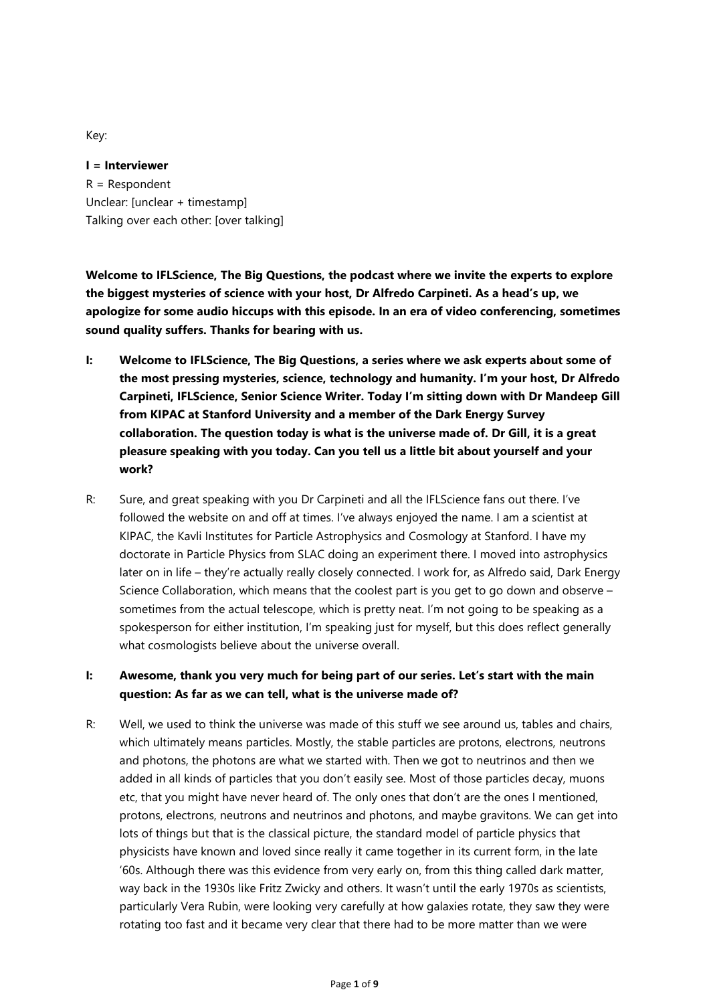Key:

**I = Interviewer** R = Respondent Unclear: [unclear + timestamp] Talking over each other: [over talking]

**Welcome to IFLScience, The Big Questions, the podcast where we invite the experts to explore the biggest mysteries of science with your host, Dr Alfredo Carpineti. As a head's up, we apologize for some audio hiccups with this episode. In an era of video conferencing, sometimes sound quality suffers. Thanks for bearing with us.**

- **I: Welcome to IFLScience, The Big Questions, a series where we ask experts about some of the most pressing mysteries, science, technology and humanity. I'm your host, Dr Alfredo Carpineti, IFLScience, Senior Science Writer. Today I'm sitting down with Dr Mandeep Gill from KIPAC at Stanford University and a member of the Dark Energy Survey collaboration. The question today is what is the universe made of. Dr Gill, it is a great pleasure speaking with you today. Can you tell us a little bit about yourself and your work?**
- R: Sure, and great speaking with you Dr Carpineti and all the IFLScience fans out there. I've followed the website on and off at times. I've always enjoyed the name. I am a scientist at KIPAC, the Kavli Institutes for Particle Astrophysics and Cosmology at Stanford. I have my doctorate in Particle Physics from SLAC doing an experiment there. I moved into astrophysics later on in life – they're actually really closely connected. I work for, as Alfredo said, Dark Energy Science Collaboration, which means that the coolest part is you get to go down and observe – sometimes from the actual telescope, which is pretty neat. I'm not going to be speaking as a spokesperson for either institution, I'm speaking just for myself, but this does reflect generally what cosmologists believe about the universe overall.

## **I: Awesome, thank you very much for being part of our series. Let's start with the main question: As far as we can tell, what is the universe made of?**

R: Well, we used to think the universe was made of this stuff we see around us, tables and chairs, which ultimately means particles. Mostly, the stable particles are protons, electrons, neutrons and photons, the photons are what we started with. Then we got to neutrinos and then we added in all kinds of particles that you don't easily see. Most of those particles decay, muons etc, that you might have never heard of. The only ones that don't are the ones I mentioned, protons, electrons, neutrons and neutrinos and photons, and maybe gravitons. We can get into lots of things but that is the classical picture, the standard model of particle physics that physicists have known and loved since really it came together in its current form, in the late '60s. Although there was this evidence from very early on, from this thing called dark matter, way back in the 1930s like Fritz Zwicky and others. It wasn't until the early 1970s as scientists, particularly Vera Rubin, were looking very carefully at how galaxies rotate, they saw they were rotating too fast and it became very clear that there had to be more matter than we were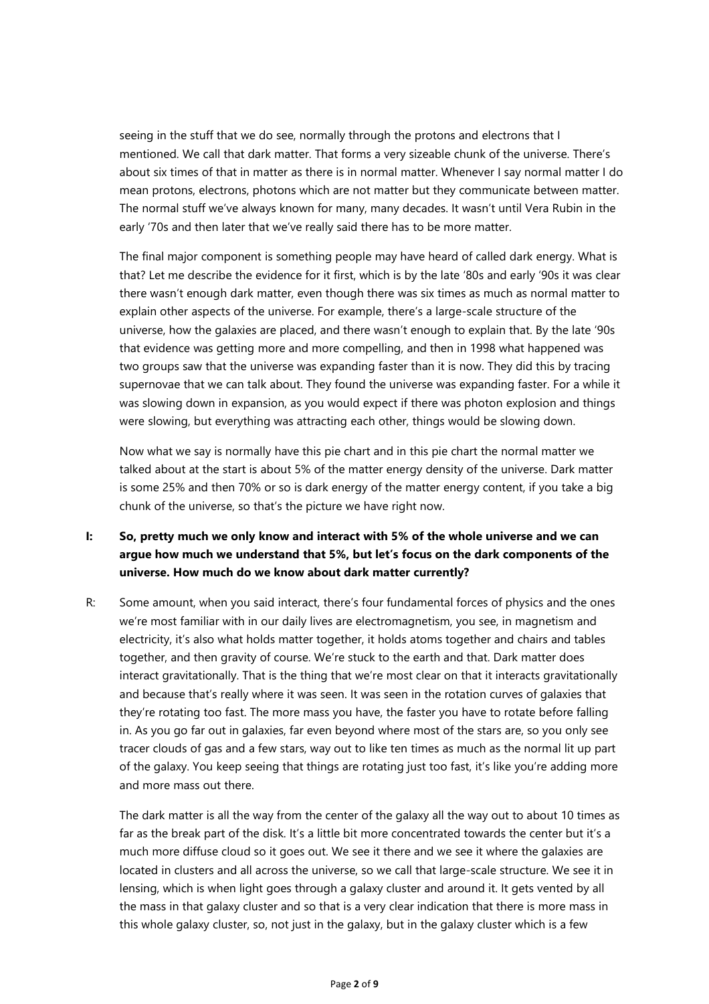seeing in the stuff that we do see, normally through the protons and electrons that I mentioned. We call that dark matter. That forms a very sizeable chunk of the universe. There's about six times of that in matter as there is in normal matter. Whenever I say normal matter I do mean protons, electrons, photons which are not matter but they communicate between matter. The normal stuff we've always known for many, many decades. It wasn't until Vera Rubin in the early '70s and then later that we've really said there has to be more matter.

The final major component is something people may have heard of called dark energy. What is that? Let me describe the evidence for it first, which is by the late '80s and early '90s it was clear there wasn't enough dark matter, even though there was six times as much as normal matter to explain other aspects of the universe. For example, there's a large-scale structure of the universe, how the galaxies are placed, and there wasn't enough to explain that. By the late '90s that evidence was getting more and more compelling, and then in 1998 what happened was two groups saw that the universe was expanding faster than it is now. They did this by tracing supernovae that we can talk about. They found the universe was expanding faster. For a while it was slowing down in expansion, as you would expect if there was photon explosion and things were slowing, but everything was attracting each other, things would be slowing down.

Now what we say is normally have this pie chart and in this pie chart the normal matter we talked about at the start is about 5% of the matter energy density of the universe. Dark matter is some 25% and then 70% or so is dark energy of the matter energy content, if you take a big chunk of the universe, so that's the picture we have right now.

## **I: So, pretty much we only know and interact with 5% of the whole universe and we can argue how much we understand that 5%, but let's focus on the dark components of the universe. How much do we know about dark matter currently?**

R: Some amount, when you said interact, there's four fundamental forces of physics and the ones we're most familiar with in our daily lives are electromagnetism, you see, in magnetism and electricity, it's also what holds matter together, it holds atoms together and chairs and tables together, and then gravity of course. We're stuck to the earth and that. Dark matter does interact gravitationally. That is the thing that we're most clear on that it interacts gravitationally and because that's really where it was seen. It was seen in the rotation curves of galaxies that they're rotating too fast. The more mass you have, the faster you have to rotate before falling in. As you go far out in galaxies, far even beyond where most of the stars are, so you only see tracer clouds of gas and a few stars, way out to like ten times as much as the normal lit up part of the galaxy. You keep seeing that things are rotating just too fast, it's like you're adding more and more mass out there.

The dark matter is all the way from the center of the galaxy all the way out to about 10 times as far as the break part of the disk. It's a little bit more concentrated towards the center but it's a much more diffuse cloud so it goes out. We see it there and we see it where the galaxies are located in clusters and all across the universe, so we call that large-scale structure. We see it in lensing, which is when light goes through a galaxy cluster and around it. It gets vented by all the mass in that galaxy cluster and so that is a very clear indication that there is more mass in this whole galaxy cluster, so, not just in the galaxy, but in the galaxy cluster which is a few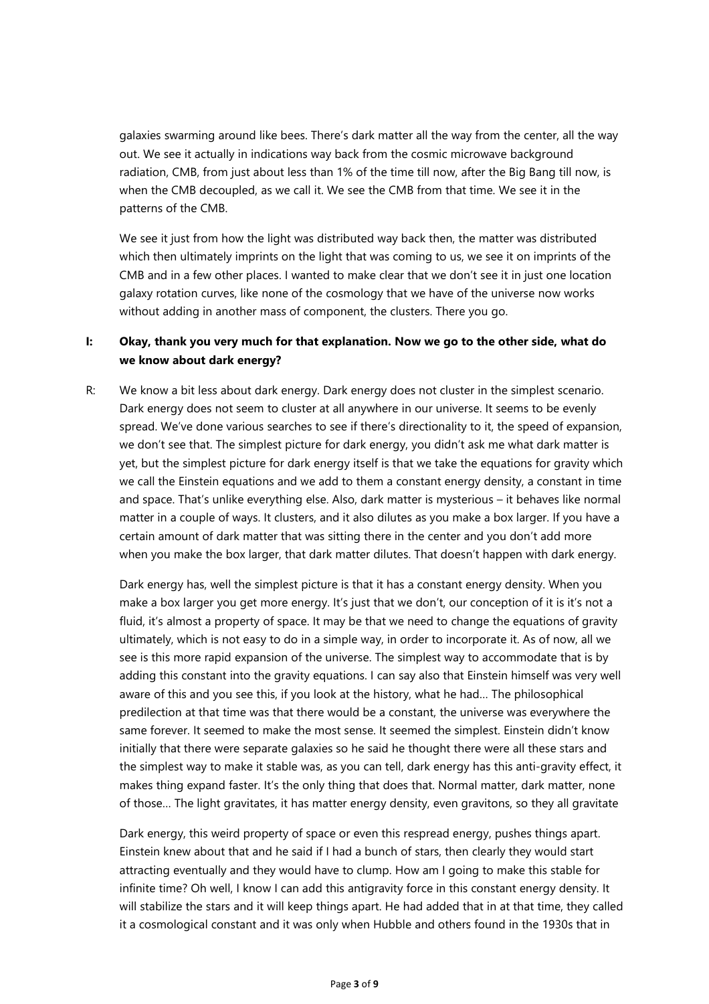galaxies swarming around like bees. There's dark matter all the way from the center, all the way out. We see it actually in indications way back from the cosmic microwave background radiation, CMB, from just about less than 1% of the time till now, after the Big Bang till now, is when the CMB decoupled, as we call it. We see the CMB from that time. We see it in the patterns of the CMB.

We see it just from how the light was distributed way back then, the matter was distributed which then ultimately imprints on the light that was coming to us, we see it on imprints of the CMB and in a few other places. I wanted to make clear that we don't see it in just one location galaxy rotation curves, like none of the cosmology that we have of the universe now works without adding in another mass of component, the clusters. There you go.

## **I: Okay, thank you very much for that explanation. Now we go to the other side, what do we know about dark energy?**

R: We know a bit less about dark energy. Dark energy does not cluster in the simplest scenario. Dark energy does not seem to cluster at all anywhere in our universe. It seems to be evenly spread. We've done various searches to see if there's directionality to it, the speed of expansion, we don't see that. The simplest picture for dark energy, you didn't ask me what dark matter is yet, but the simplest picture for dark energy itself is that we take the equations for gravity which we call the Einstein equations and we add to them a constant energy density, a constant in time and space. That's unlike everything else. Also, dark matter is mysterious – it behaves like normal matter in a couple of ways. It clusters, and it also dilutes as you make a box larger. If you have a certain amount of dark matter that was sitting there in the center and you don't add more when you make the box larger, that dark matter dilutes. That doesn't happen with dark energy.

Dark energy has, well the simplest picture is that it has a constant energy density. When you make a box larger you get more energy. It's just that we don't, our conception of it is it's not a fluid, it's almost a property of space. It may be that we need to change the equations of gravity ultimately, which is not easy to do in a simple way, in order to incorporate it. As of now, all we see is this more rapid expansion of the universe. The simplest way to accommodate that is by adding this constant into the gravity equations. I can say also that Einstein himself was very well aware of this and you see this, if you look at the history, what he had… The philosophical predilection at that time was that there would be a constant, the universe was everywhere the same forever. It seemed to make the most sense. It seemed the simplest. Einstein didn't know initially that there were separate galaxies so he said he thought there were all these stars and the simplest way to make it stable was, as you can tell, dark energy has this anti-gravity effect, it makes thing expand faster. It's the only thing that does that. Normal matter, dark matter, none of those… The light gravitates, it has matter energy density, even gravitons, so they all gravitate

Dark energy, this weird property of space or even this respread energy, pushes things apart. Einstein knew about that and he said if I had a bunch of stars, then clearly they would start attracting eventually and they would have to clump. How am I going to make this stable for infinite time? Oh well, I know I can add this antigravity force in this constant energy density. It will stabilize the stars and it will keep things apart. He had added that in at that time, they called it a cosmological constant and it was only when Hubble and others found in the 1930s that in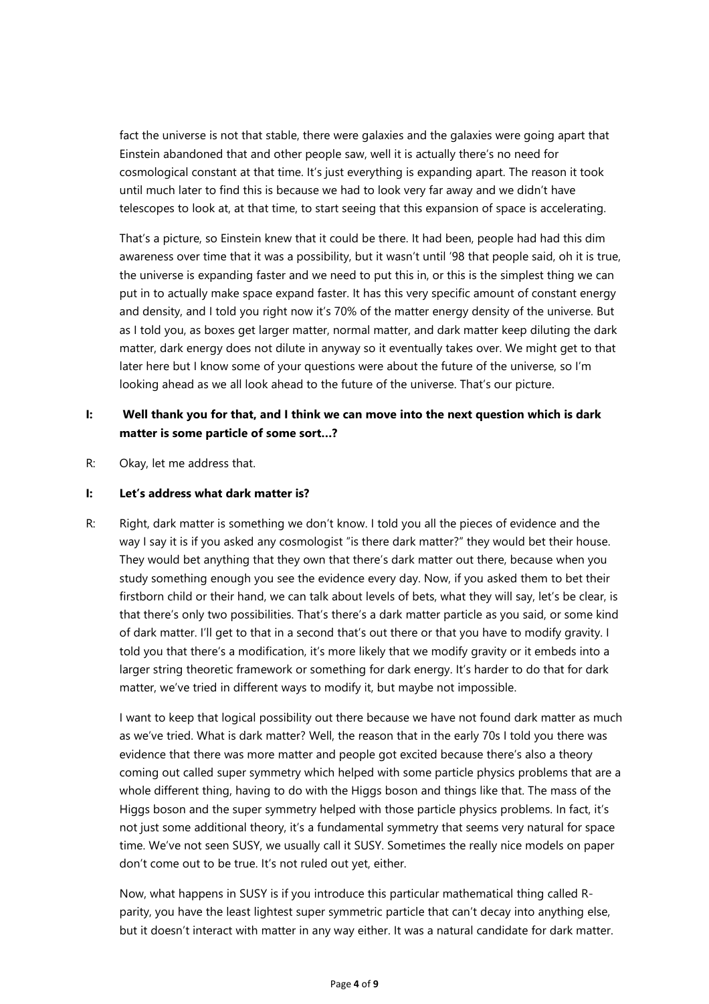fact the universe is not that stable, there were galaxies and the galaxies were going apart that Einstein abandoned that and other people saw, well it is actually there's no need for cosmological constant at that time. It's just everything is expanding apart. The reason it took until much later to find this is because we had to look very far away and we didn't have telescopes to look at, at that time, to start seeing that this expansion of space is accelerating.

That's a picture, so Einstein knew that it could be there. It had been, people had had this dim awareness over time that it was a possibility, but it wasn't until '98 that people said, oh it is true, the universe is expanding faster and we need to put this in, or this is the simplest thing we can put in to actually make space expand faster. It has this very specific amount of constant energy and density, and I told you right now it's 70% of the matter energy density of the universe. But as I told you, as boxes get larger matter, normal matter, and dark matter keep diluting the dark matter, dark energy does not dilute in anyway so it eventually takes over. We might get to that later here but I know some of your questions were about the future of the universe, so I'm looking ahead as we all look ahead to the future of the universe. That's our picture.

## **I: Well thank you for that, and I think we can move into the next question which is dark matter is some particle of some sort…?**

R: Okay, let me address that.

#### **I: Let's address what dark matter is?**

R: Right, dark matter is something we don't know. I told you all the pieces of evidence and the way I say it is if you asked any cosmologist "is there dark matter?" they would bet their house. They would bet anything that they own that there's dark matter out there, because when you study something enough you see the evidence every day. Now, if you asked them to bet their firstborn child or their hand, we can talk about levels of bets, what they will say, let's be clear, is that there's only two possibilities. That's there's a dark matter particle as you said, or some kind of dark matter. I'll get to that in a second that's out there or that you have to modify gravity. I told you that there's a modification, it's more likely that we modify gravity or it embeds into a larger string theoretic framework or something for dark energy. It's harder to do that for dark matter, we've tried in different ways to modify it, but maybe not impossible.

I want to keep that logical possibility out there because we have not found dark matter as much as we've tried. What is dark matter? Well, the reason that in the early 70s I told you there was evidence that there was more matter and people got excited because there's also a theory coming out called super symmetry which helped with some particle physics problems that are a whole different thing, having to do with the Higgs boson and things like that. The mass of the Higgs boson and the super symmetry helped with those particle physics problems. In fact, it's not just some additional theory, it's a fundamental symmetry that seems very natural for space time. We've not seen SUSY, we usually call it SUSY. Sometimes the really nice models on paper don't come out to be true. It's not ruled out yet, either.

Now, what happens in SUSY is if you introduce this particular mathematical thing called Rparity, you have the least lightest super symmetric particle that can't decay into anything else, but it doesn't interact with matter in any way either. It was a natural candidate for dark matter.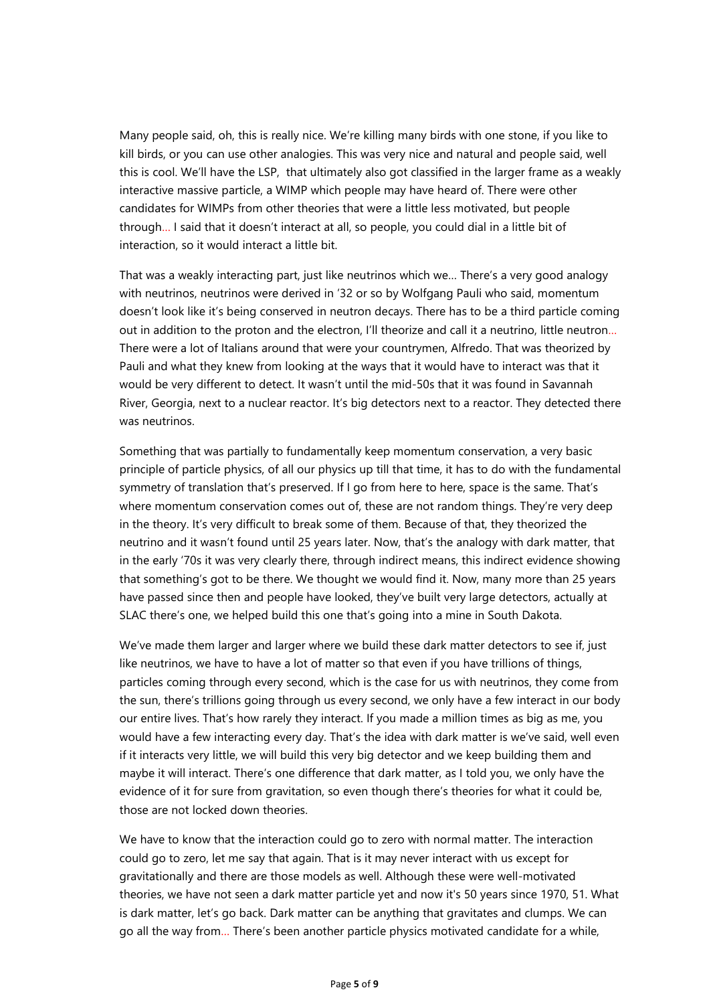Many people said, oh, this is really nice. We're killing many birds with one stone, if you like to kill birds, or you can use other analogies. This was very nice and natural and people said, well this is cool. We'll have the LSP, that ultimately also got classified in the larger frame as a weakly interactive massive particle, a WIMP which people may have heard of. There were other candidates for WIMPs from other theories that were a little less motivated, but people through… I said that it doesn't interact at all, so people, you could dial in a little bit of interaction, so it would interact a little bit.

That was a weakly interacting part, just like neutrinos which we… There's a very good analogy with neutrinos, neutrinos were derived in '32 or so by Wolfgang Pauli who said, momentum doesn't look like it's being conserved in neutron decays. There has to be a third particle coming out in addition to the proton and the electron, I'll theorize and call it a neutrino, little neutron… There were a lot of Italians around that were your countrymen, Alfredo. That was theorized by Pauli and what they knew from looking at the ways that it would have to interact was that it would be very different to detect. It wasn't until the mid-50s that it was found in Savannah River, Georgia, next to a nuclear reactor. It's big detectors next to a reactor. They detected there was neutrinos.

Something that was partially to fundamentally keep momentum conservation, a very basic principle of particle physics, of all our physics up till that time, it has to do with the fundamental symmetry of translation that's preserved. If I go from here to here, space is the same. That's where momentum conservation comes out of, these are not random things. They're very deep in the theory. It's very difficult to break some of them. Because of that, they theorized the neutrino and it wasn't found until 25 years later. Now, that's the analogy with dark matter, that in the early '70s it was very clearly there, through indirect means, this indirect evidence showing that something's got to be there. We thought we would find it. Now, many more than 25 years have passed since then and people have looked, they've built very large detectors, actually at SLAC there's one, we helped build this one that's going into a mine in South Dakota.

We've made them larger and larger where we build these dark matter detectors to see if, just like neutrinos, we have to have a lot of matter so that even if you have trillions of things, particles coming through every second, which is the case for us with neutrinos, they come from the sun, there's trillions going through us every second, we only have a few interact in our body our entire lives. That's how rarely they interact. If you made a million times as big as me, you would have a few interacting every day. That's the idea with dark matter is we've said, well even if it interacts very little, we will build this very big detector and we keep building them and maybe it will interact. There's one difference that dark matter, as I told you, we only have the evidence of it for sure from gravitation, so even though there's theories for what it could be, those are not locked down theories.

We have to know that the interaction could go to zero with normal matter. The interaction could go to zero, let me say that again. That is it may never interact with us except for gravitationally and there are those models as well. Although these were well-motivated theories, we have not seen a dark matter particle yet and now it's 50 years since 1970, 51. What is dark matter, let's go back. Dark matter can be anything that gravitates and clumps. We can go all the way from… There's been another particle physics motivated candidate for a while,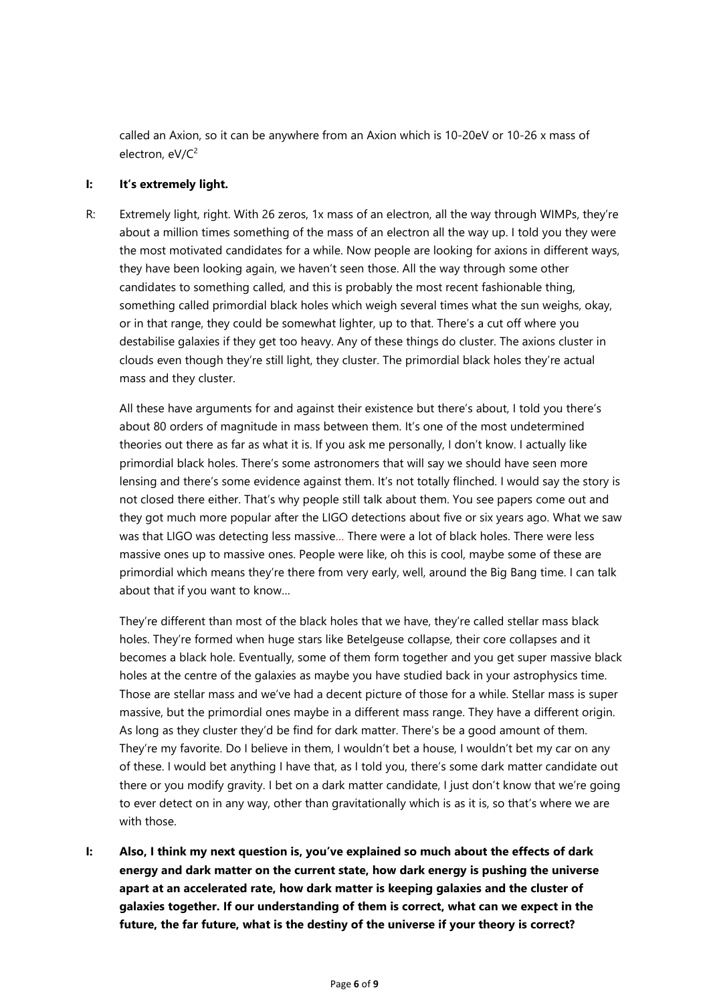called an Axion, so it can be anywhere from an Axion which is 10-20eV or 10-26 x mass of electron, eV/C<sup>2</sup>

#### **I: It's extremely light.**

R: Extremely light, right. With 26 zeros, 1x mass of an electron, all the way through WIMPs, they're about a million times something of the mass of an electron all the way up. I told you they were the most motivated candidates for a while. Now people are looking for axions in different ways, they have been looking again, we haven't seen those. All the way through some other candidates to something called, and this is probably the most recent fashionable thing, something called primordial black holes which weigh several times what the sun weighs, okay, or in that range, they could be somewhat lighter, up to that. There's a cut off where you destabilise galaxies if they get too heavy. Any of these things do cluster. The axions cluster in clouds even though they're still light, they cluster. The primordial black holes they're actual mass and they cluster.

All these have arguments for and against their existence but there's about, I told you there's about 80 orders of magnitude in mass between them. It's one of the most undetermined theories out there as far as what it is. If you ask me personally, I don't know. I actually like primordial black holes. There's some astronomers that will say we should have seen more lensing and there's some evidence against them. It's not totally flinched. I would say the story is not closed there either. That's why people still talk about them. You see papers come out and they got much more popular after the LIGO detections about five or six years ago. What we saw was that LIGO was detecting less massive… There were a lot of black holes. There were less massive ones up to massive ones. People were like, oh this is cool, maybe some of these are primordial which means they're there from very early, well, around the Big Bang time. I can talk about that if you want to know…

They're different than most of the black holes that we have, they're called stellar mass black holes. They're formed when huge stars like Betelgeuse collapse, their core collapses and it becomes a black hole. Eventually, some of them form together and you get super massive black holes at the centre of the galaxies as maybe you have studied back in your astrophysics time. Those are stellar mass and we've had a decent picture of those for a while. Stellar mass is super massive, but the primordial ones maybe in a different mass range. They have a different origin. As long as they cluster they'd be find for dark matter. There's be a good amount of them. They're my favorite. Do I believe in them, I wouldn't bet a house, I wouldn't bet my car on any of these. I would bet anything I have that, as I told you, there's some dark matter candidate out there or you modify gravity. I bet on a dark matter candidate, I just don't know that we're going to ever detect on in any way, other than gravitationally which is as it is, so that's where we are with those.

**I: Also, I think my next question is, you've explained so much about the effects of dark energy and dark matter on the current state, how dark energy is pushing the universe apart at an accelerated rate, how dark matter is keeping galaxies and the cluster of galaxies together. If our understanding of them is correct, what can we expect in the future, the far future, what is the destiny of the universe if your theory is correct?**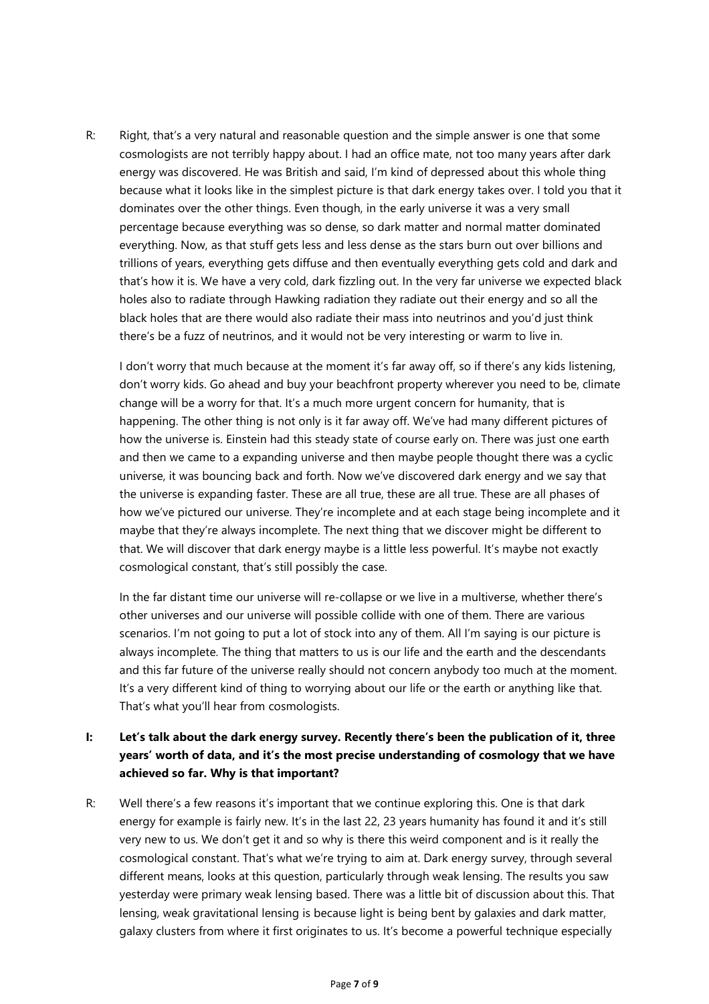R: Right, that's a very natural and reasonable question and the simple answer is one that some cosmologists are not terribly happy about. I had an office mate, not too many years after dark energy was discovered. He was British and said, I'm kind of depressed about this whole thing because what it looks like in the simplest picture is that dark energy takes over. I told you that it dominates over the other things. Even though, in the early universe it was a very small percentage because everything was so dense, so dark matter and normal matter dominated everything. Now, as that stuff gets less and less dense as the stars burn out over billions and trillions of years, everything gets diffuse and then eventually everything gets cold and dark and that's how it is. We have a very cold, dark fizzling out. In the very far universe we expected black holes also to radiate through Hawking radiation they radiate out their energy and so all the black holes that are there would also radiate their mass into neutrinos and you'd just think there's be a fuzz of neutrinos, and it would not be very interesting or warm to live in.

I don't worry that much because at the moment it's far away off, so if there's any kids listening, don't worry kids. Go ahead and buy your beachfront property wherever you need to be, climate change will be a worry for that. It's a much more urgent concern for humanity, that is happening. The other thing is not only is it far away off. We've had many different pictures of how the universe is. Einstein had this steady state of course early on. There was just one earth and then we came to a expanding universe and then maybe people thought there was a cyclic universe, it was bouncing back and forth. Now we've discovered dark energy and we say that the universe is expanding faster. These are all true, these are all true. These are all phases of how we've pictured our universe. They're incomplete and at each stage being incomplete and it maybe that they're always incomplete. The next thing that we discover might be different to that. We will discover that dark energy maybe is a little less powerful. It's maybe not exactly cosmological constant, that's still possibly the case.

In the far distant time our universe will re-collapse or we live in a multiverse, whether there's other universes and our universe will possible collide with one of them. There are various scenarios. I'm not going to put a lot of stock into any of them. All I'm saying is our picture is always incomplete. The thing that matters to us is our life and the earth and the descendants and this far future of the universe really should not concern anybody too much at the moment. It's a very different kind of thing to worrying about our life or the earth or anything like that. That's what you'll hear from cosmologists.

# **I: Let's talk about the dark energy survey. Recently there's been the publication of it, three years' worth of data, and it's the most precise understanding of cosmology that we have achieved so far. Why is that important?**

R: Well there's a few reasons it's important that we continue exploring this. One is that dark energy for example is fairly new. It's in the last 22, 23 years humanity has found it and it's still very new to us. We don't get it and so why is there this weird component and is it really the cosmological constant. That's what we're trying to aim at. Dark energy survey, through several different means, looks at this question, particularly through weak lensing. The results you saw yesterday were primary weak lensing based. There was a little bit of discussion about this. That lensing, weak gravitational lensing is because light is being bent by galaxies and dark matter, galaxy clusters from where it first originates to us. It's become a powerful technique especially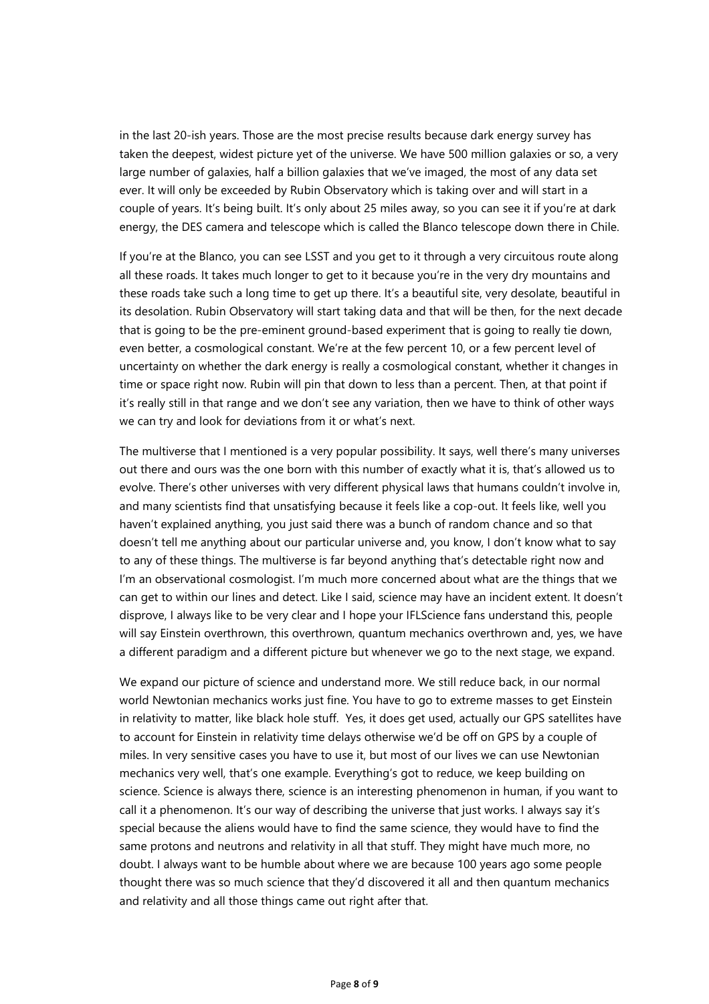in the last 20-ish years. Those are the most precise results because dark energy survey has taken the deepest, widest picture yet of the universe. We have 500 million galaxies or so, a very large number of galaxies, half a billion galaxies that we've imaged, the most of any data set ever. It will only be exceeded by Rubin Observatory which is taking over and will start in a couple of years. It's being built. It's only about 25 miles away, so you can see it if you're at dark energy, the DES camera and telescope which is called the Blanco telescope down there in Chile.

If you're at the Blanco, you can see LSST and you get to it through a very circuitous route along all these roads. It takes much longer to get to it because you're in the very dry mountains and these roads take such a long time to get up there. It's a beautiful site, very desolate, beautiful in its desolation. Rubin Observatory will start taking data and that will be then, for the next decade that is going to be the pre-eminent ground-based experiment that is going to really tie down, even better, a cosmological constant. We're at the few percent 10, or a few percent level of uncertainty on whether the dark energy is really a cosmological constant, whether it changes in time or space right now. Rubin will pin that down to less than a percent. Then, at that point if it's really still in that range and we don't see any variation, then we have to think of other ways we can try and look for deviations from it or what's next.

The multiverse that I mentioned is a very popular possibility. It says, well there's many universes out there and ours was the one born with this number of exactly what it is, that's allowed us to evolve. There's other universes with very different physical laws that humans couldn't involve in, and many scientists find that unsatisfying because it feels like a cop-out. It feels like, well you haven't explained anything, you just said there was a bunch of random chance and so that doesn't tell me anything about our particular universe and, you know, I don't know what to say to any of these things. The multiverse is far beyond anything that's detectable right now and I'm an observational cosmologist. I'm much more concerned about what are the things that we can get to within our lines and detect. Like I said, science may have an incident extent. It doesn't disprove, I always like to be very clear and I hope your IFLScience fans understand this, people will say Einstein overthrown, this overthrown, quantum mechanics overthrown and, yes, we have a different paradigm and a different picture but whenever we go to the next stage, we expand.

We expand our picture of science and understand more. We still reduce back, in our normal world Newtonian mechanics works just fine. You have to go to extreme masses to get Einstein in relativity to matter, like black hole stuff. Yes, it does get used, actually our GPS satellites have to account for Einstein in relativity time delays otherwise we'd be off on GPS by a couple of miles. In very sensitive cases you have to use it, but most of our lives we can use Newtonian mechanics very well, that's one example. Everything's got to reduce, we keep building on science. Science is always there, science is an interesting phenomenon in human, if you want to call it a phenomenon. It's our way of describing the universe that just works. I always say it's special because the aliens would have to find the same science, they would have to find the same protons and neutrons and relativity in all that stuff. They might have much more, no doubt. I always want to be humble about where we are because 100 years ago some people thought there was so much science that they'd discovered it all and then quantum mechanics and relativity and all those things came out right after that.